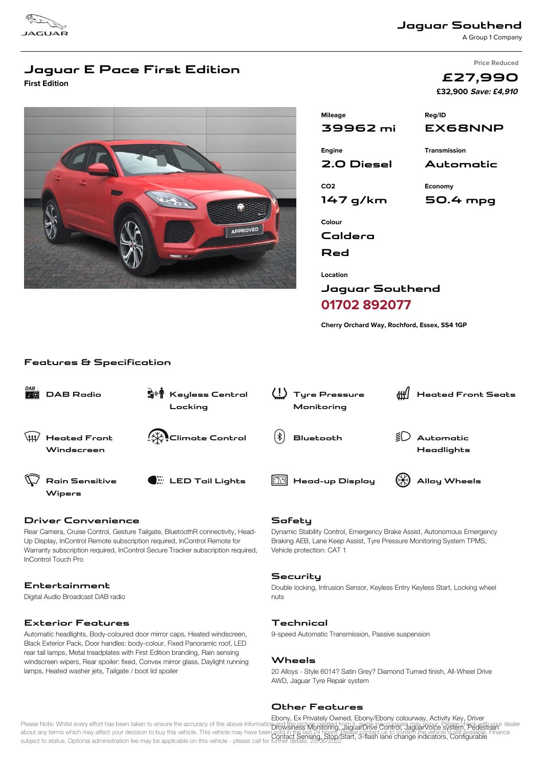

**Jaguar Southend**

A Group 1 Company

**Price Reduced**

**£27,990**

# **Jaguar E Pace First Edition**

**First Edition**



|                          | £32,900 Save: £4,910 |  |
|--------------------------|----------------------|--|
| <b>Mileage</b>           | Reg/ID               |  |
| 39962 mi                 | EX68NNP              |  |
| Engine                   | <b>Transmission</b>  |  |
| 2.0 Diesel               | Automatic            |  |
| CO <sub>2</sub>          | Economy              |  |
| 147 g/km                 | 50.4 mpg             |  |
| Colour<br>Caldera<br>Red |                      |  |
|                          |                      |  |

**Jaguar Southend 01702 892077**

**Location**

**Cherry Orchard Way, Rochford, Essex, SS4 1GP**

#### **Features & Specification**

| DAB | <b>DAB Radio</b>                  | S <sup>II</sup> Keyless Central<br>Locking | Tyre Pressure<br>Monitoring | ∰∣ | <b>Heated Front Seats</b> |
|-----|-----------------------------------|--------------------------------------------|-----------------------------|----|---------------------------|
| \## | <b>Heated Front</b><br>Windscreen | <b>A</b> Climate Control                   | $ \ast $<br>Bluetooth       |    | Automatic<br>Headlights   |
|     | Rain Sensitive<br>Wipers          | $\bullet$ LED Tail Lights                  | Head-up Display             |    | Alloy Wheels              |

## **Driver Convenience**

Rear Camera, Cruise Control, Gesture Tailgate, BluetoothR connectivity, Head-Up Display, InControl Remote subscription required, InControl Remote for Warranty subscription required, InControl Secure Tracker subscription required, InControl Touch Pro

## **Entertainment**

Digital Audio Broadcast DAB radio

# **Exterior Features**

Automatic headlights, Body-coloured door mirror caps, Heated windscreen, Black Exterior Pack, Door handles: body-colour, Fixed Panoramic roof, LED rear tail lamps, Metal treadplates with First Edition branding, Rain sensing windscreen wipers, Rear spoiler: fixed, Convex mirror glass, Daylight running lamps, Heated washer jets, Tailgate / boot lid spoiler

## **Safety**

Dynamic Stability Control, Emergency Brake Assist, Autonomous Emergency Braking AEB, Lane Keep Assist, Tyre Pressure Monitoring System TPMS, Vehicle protection: CAT 1

#### **Security**

Double locking, Intrusion Sensor, Keyless Entry Keyless Start, Locking wheel nuts

## **Technical**

9-speed Automatic Transmission, Passive suspension

#### **Wheels**

20 Alloys - Style 6014? Satin Grey? Diamond Turned finish, All-Wheel Drive AWD, Jaguar Tyre Repair system

#### **Other Features**

Please Note: Whilst every effort has been taken to ensure the accuracy of the above information page singly and it and the stranger of the apply apply a control espany of calendary and the stranger of the ader about any terms which may affect your decision to buy this vehicle. This vehicle may have been sold in the last 24 hours. Please contact us to confirm the vehicle is still available. Finance abod any terms when may alloc, your accision to buy this vehicle. This vehicle hay have been contact Sensing, Stop/Start, 3-flash lane change indicators, Configurable<br>subject to status. Optional administration fee may be a Ebony, Ex Privately Owned, Ebony/Ebony colourway, Activity Key, Driver